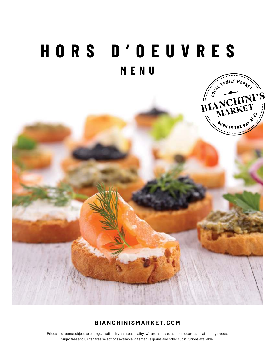# **HORS D'OEUVRES MENU**



# **BIANCHINISMARKET.COM**

Prices and Items subject to change, availability and seasonality. We are happy to accommodate special dietary needs. Sugar free and Gluten free selections available. Alternative grains and other substitutions available.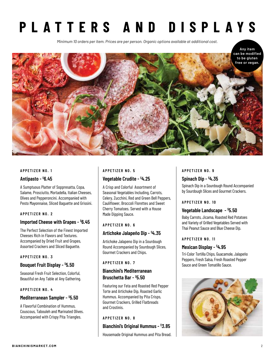# **PLATTERS AND DISPLAYS**

*Minimum 10 orders per item. Prices are per person. Organic options available at additional cost.*



#### **APPETIZER NO. 1**

#### **Antipasto - \$ 6.45**

A Sumptuous Platter of Soppresatta, Copa, Salame, Prosciutto, Mortadella, Italian Cheeses, Olives and Pepperoncini. Accompanied with Pesto Mayonnaise, Sliced Baguette and Grissini.

#### **APPETIZER NO. 2**

#### **Imported Cheese with Grapes - \$ 6.45**

The Perfect Selection of the Finest Imported Cheeses Rich in Flavors and Textures. Accompanied by Dried Fruit and Grapes, Assorted Crackers and Sliced Baguette.

#### **APPETIZER NO. 3**

#### **Bouquet Fruit Display - \$ 5.50**

Seasonal Fresh Fruit Selection, Colorful, Beautiful on Any Table at Any Gathering.

### **APPETIZER NO. 4**

#### **Mediterranean Sampler - \$ 5.50**

A Flavorful Combination of Hummus, Couscous, Tabouleh and Marinated Olives. Accompanied with Crispy Pita Triangles.

#### **APPETIZER NO. 5**

#### **Vegetable Crudite - \$4.25**

A Crisp and Colorful Assortment of Seasonal Vegetables Including, Carrots, Celery, Zucchini, Red and Green Bell Peppers, Cauliflower, Broccoli Florettes and Sweet Cherry Tomatoes. Served with a House Made Dipping Sauce.

#### **APPETIZER NO. 6**

#### **Artichoke Jalapeño Dip - \$4.35**

Artichoke Jalapeno Dip in a Sourdough Round Accompanied by Sourdough Slices, Gourmet Crackers and Chips.

#### **APPETIZER NO. 7**

# **Bianchini's Mediterranean Bruschetta Bar - \$ 5.50**

Featuring our Feta and Roasted Red Pepper Torte and Artichoke Dip, Roasted Garlic Hummus. Accompanied by Pita Crisps, Gourmet Crackers, Grilled Flatbreads and Crostinis.

#### **APPETIZER NO. 8**

### **Bianchini's Original Hummus - \$3.85**

Housemade Original Hummus and Pita Bread.

# **APPETIZER NO. 9**

### **Spinach Dip - \$4.35**

Spinach Dip in a Sourdough Round Accompanied by Sourdough Slices and Gourmet Crackers.

#### **APPETIZER NO. 10**

# **Vegetable Landscape - \$ 5.50**

Baby Carrots, Jicama, Roasted Red Potatoes and Variety of Grilled Vegetables Served with Thai Peanut Sauce and Blue Cheese Dip.

#### **APPETIZER NO. 11**

#### **Mexican Display - \$4.95**

Tri-Color Tortilla Chips, Guacamole, Jalapeño Peppers, Fresh Salsa, Fresh Roasted Pepper Sauce and Green Tomatillo Sauce.

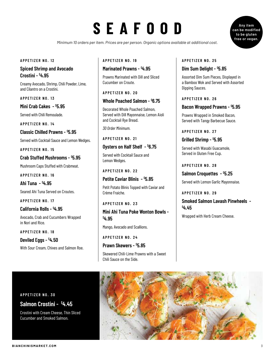# **SEAFOOD**

*Minimum 10 orders per item. Prices are per person. Organic options available at additional cost.*

#### **APPETIZER NO. 12**

### **Spiced Shrimp and Avocado Crostini - \$4.95**

Creamy Avocado, Shrimp, Chili Powder, Lime, and Cilantro on a Crostini.

**APPETIZER NO. 13**

**Mini Crab Cakes - \$ 5.95** 

Served with Chili Remoulade.

**APPETIZER NO. 14**

**Classic Chilled Prawns - \$ 5.95** 

Served with Cocktail Sauce and Lemon Wedges.

**APPETIZER NO. 15**

**Crab Stuffed Mushrooms - \$ 5.95** 

Mushroom Caps Stuffed with Crabmeat.

**APPETIZER NO. 16**

**Ahi Tuna - \$4.95**

Seared Ahi Tuna Served on Croutes.

**APPETIZER NO. 17**

**California Rolls - \$4.95** 

Avocado, Crab and Cucumbers Wrapped in Nori and Rice.

**APPETIZER NO. 18**

**Deviled Eggs - \$4.50** With Sour Cream, Chives and Salmon Roe.

#### **APPETIZER NO. 19**

# **Marinated Prawns - \$4.95**

Prawns Marinated with Dill and Sliced Cucumber on Croute.

**APPETIZER NO. 20**

# **Whole Poached Salmon - \$ 6.75**

Decorated Whole Poached Salmon, Served with Dill Mayonnaise, Lemon Aioli and Cocktail Rye Bread.

*30 Order Minimum.*

**APPETIZER NO. 21**

**Oysters on Half Shelf - \$ 6.75** 

Served with Cocktail Sauce and Lemon Wedges.

**APPETIZER NO. 22**

**Petite Caviar Blinis - \$ 5.85** 

Petit Potato Blinis Topped with Caviar and Crème Fraiche.

**APPETIZER NO. 23**

**Mini Ahi Tuna Poke Wonton Bowls - \$4.95** 

Mango, Avocado and Scallions.

**APPETIZER NO. 24**

**Prawn Skewers - \$ 5.85** 

Skewered Chili-Lime Prawns with a Sweet Chili Sauce on the Side.

#### **APPETIZER NO. 25**

# **Dim Sum Delight - \$ 5.85**

Assorted Dim Sum Pieces, Displayed in a Bamboo Wok and Served with Assorted Dipping Sauces.

#### **APPETIZER NO. 26**

### **Bacon Wrapped Prawns - \$ 5.95**

Prawns Wrapped in Smoked Bacon, Served with Tangy Barbecue Sauce.

**APPETIZER NO. 27**

**Grilled Shrimp - \$ 5.95** 

Served with Wasabi Guacamole, Served in Gluten Free Cup.

#### **APPETIZER NO. 28**

**Salmon Croquettes - \$ 5.25** 

Served with Lemon Garlic Mayonnaise.

**APPETIZER NO. 29**

**Smoked Salmon Lavash Pinwheels - \$4.45** 

Wrapped with Herb Cream Cheese.



Crostini with Cream Cheese, Thin Sliced Cucumber and Smoked Salmon.



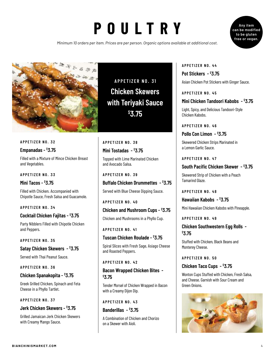# **POULTRY**

*Minimum 10 orders per item. Prices are per person. Organic options available at additional cost.*





**APPETIZER NO. 32**

# **Empanadas - \$3.75**

Filled with a Mixture of Mince Chicken Breast and Vegetables.

#### **APPETIZER NO. 33**

**Mini Tacos - \$3.75**

Filled with Chicken. Accompanied with Chipotle Sauce, Fresh Salsa and Guacamole.

#### **APPETIZER NO. 34**

#### **Cocktail Chicken Fajitas - \$3.75**

Party Nibblers Filled with Chipotle Chicken and Peppers.

#### **APPETIZER NO. 35**

**Satay Chicken Skewers - \$3.75** 

Served with Thai Peanut Sauce.

#### **APPETIZER NO. 36**

#### **Chicken Spanakopita - \$3.75**

Greek Grilled Chicken, Spinach and Feta Cheese in a Phyllo Tartlet.

#### **APPETIZER NO. 37**

# **Jerk Chicken Skewers - \$3.75**

Grilled Jamaican Jerk Chicken Skewers with Creamy Mango Sauce.

**APPETIZER NO. 31 Chicken Skewers with Teriyaki Sauce \$3.75**

**APPETIZER NO. 38 Mini Tostadas - \$3.75** 

Topped with Lime Marinated Chicken and Avocado Salsa.

**APPETIZER NO. 39**

#### **Buffalo Chicken Drummettes - \$3.75**

Served with Blue Cheese Dipping Sauce.

#### **APPETIZER NO. 40**

# **Chicken and Mushroom Cups - \$3.75**

Chicken and Mushrooms in a Phyllo Cup.

#### **APPETIZER NO. 41**

#### **Tuscan Chicken Roulade - \$3.75**

Spiral Slices with Fresh Sage, Asiago Cheese and Roasted Peppers.

#### **APPETIZER NO. 42**

### **Bacon Wrapped Chicken Bites - \$3.75**

Tender Morsel of Chicken Wrapped in Bacon with a Creamy Dijon Dip.

#### **APPETIZER NO. 43**

**Banderillas - \$3.75**

A Combination of Chicken and Chorizo on a Skewer with Aioli.

# **APPETIZER NO. 44 Pot Stickers - \$3.75**

Asian Chicken Pot Stickers with Ginger Sauce.

#### **APPETIZER NO. 45**

# **Mini Chicken Tandoori Kabobs - \$3.75**

Light, Spicy, and Delicious Tandoori-Style Chicken Kabobs.

**APPETIZER NO. 46**

**Pollo Con Limon - \$3.75**

Skewered Chicken Strips Marinated in a Lemon Garlic Sauce.

#### **APPETIZER NO. 47**

### **South Pacific Chicken Skewer - \$3.75**

Skewered Strip of Chicken with a Peach Tamarind Glaze.

**APPETIZER NO. 48**

**Hawaiian Kabobs - \$3.75** Mini Hawaiian Chicken Kabobs with Pineapple.

#### **APPETIZER NO. 49**

# **Chicken Southwestern Egg Rolls - \$3.75**

Stuffed with Chicken, Black Beans and Monterey Cheese.

#### **APPETIZER NO. 50**

#### **Chicken Taco Cups - \$3.75**

Wonton Cups Stuffed with Chicken, Fresh Salsa, and Cheese. Garnish with Sour Cream and Green Onions.

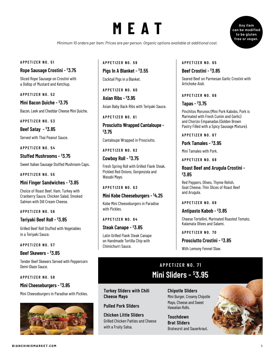# **MEAT**

**Any item can be modified to be gluten free or vegan.**

*Minimum 10 orders per item. Prices are per person. Organic options available at additional cost.*

#### **APPETIZER NO. 51**

#### **Rope Sausage Crostini - \$3.75**

Sliced Rope Sausage on Crostini with a Dollop of Mustard and Ketchup.

**APPETIZER NO. 52**

**Mini Bacon Quiche - \$3.75**

Bacon, Leek and Cheddar Cheese Mini Quiche.

**APPETIZER NO. 53**

**Beef Satay - \$3.85**

Served with Thai Peanut Sauce.

**APPETIZER NO. 54**

**Stuffed Mushrooms - \$3.75**

Sweet Italian Sausage Stuffed Mushroom Caps.

**APPETIZER NO. 55**

# **Mini Finger Sandwiches - \$3.85**

Choice of Roast Beef, Ham, Turkey with Cranberry Sauce, Chicken Salad, Smoked Salmon with Dill Cream Cheese.

#### **APPETIZER NO. 56**

# **Teriyaki Beef Roll - \$3.85**

Grilled Beef Roll Stuffed with Vegetables in a Teriyaki Sauce.

#### **APPETIZER NO. 57**

#### **Beef Skewers - \$3.85**

Tender Beef Skewers Served with Peppercorn Demi-Glaze Sauce.

#### **APPETIZER NO. 58**

#### **Mini Cheeseburgers - \$3.85**

Mini Cheeseburgers in Paradise with Pickles.



### **APPETIZER NO. 59**

**Pigs In A Blanket - \$3.55** Cocktail Pigs in a Blanket.

**APPETIZER NO. 60**

**Asian Ribs - \$3.95**

Asian Baby Back Ribs with Teriyaki Sauce.

**APPETIZER NO. 61**

**Prosciutto Wrapped Cantaloupe - \$3.75**

Cantaloupe Wrapped in Prosciutto.

**APPETIZER NO. 62**

### **Cowboy Roll - \$3.75**

Fresh Spring Roll with Grilled Flank Steak, Pickled Red Onions, Gorgonzola and Wasabi Mayo.

#### **APPETIZER NO. 63**

#### **Mini Kobe Cheeseburgers - \$4.25**

Kobe Mini Cheeseburgers in Paradise with Pickles.

**APPETIZER NO. 64**

Chimichurri Sauce.

**Steak Canape - \$3.85** Latin Grilled Flank Steak Canape on Handmade Tortilla Chip with

# **APPETIZER NO. 65**

# **Beef Crostini - \$3.85**

Seared Beef on Parmesan Garlic Crostini with Artichoke Aioli.

#### **APPETIZER NO. 66**

### **Tapas - \$3.75**

Pinchitos Morunos (Mini Pork Kabobs, Pork is Marinated with Fresh Cumin and Garlic) and Chorizo Empanadas (Golden Brown Pastry Filled with a Spicy Sausage Mixture).

**APPETIZER NO. 67**

**Pork Tamales - \$3.95**

Mini Tamales with Pork.

#### **APPETIZER NO. 68**

# **Roast Beef and Arugula Crostini - \$3.85**

Red Peppers, Olives, Thyme Relish, Goat Cheese, Thin Slices of Roast Beef and Arugula.

#### **APPETIZER NO. 69**

#### **Antipasto Kabob - \$3.85**

Cheese Tortellini, Marinated Roasted Tomato, Kalamata Olives and Salami.

**APPETIZER NO. 70**

#### **Prosciutto Crostini - \$3.85**

With Lemony Fennel Slaw.

# **APPETIZER NO. 71 Mini Sliders - \$3.95**

**Turkey Sliders with Chili Cheese Mayo**

### **Pulled Pork Sliders**

**Chicken Little Sliders**  Grilled Chicken Patties and Cheese with a Fruity Salsa.

**Chipotle Sliders**  Mini Burger, Creamy Chipotle Mayo, Cheese and Sweet Hawaiian Rolls.

**Touchdown Brat Sliders**  Bratwurst and Sauerkraut.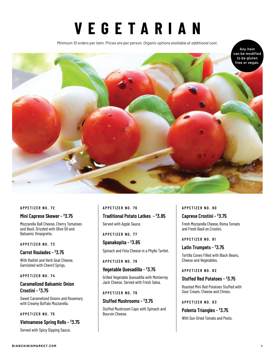# **VEGETARIAN**

*Minimum 10 orders per item. Prices are per person. Organic options available at additional cost.*



#### **APPETIZER NO. 72**

#### **Mini Caprese Skewer - \$3.75**

Mozzarella Ball Cheese, Cherry Tomatoes and Basil, Drizzled with Olive Oil and Balsamic Vinaigrette.

#### **APPETIZER NO. 73**

# **Carrot Roulades - \$3.75**

With Radish and Herb Goat Cheese, Garnished with Chevril Sprigs.

### **APPETIZER NO. 74**

# **Caramelized Balsamic Onion Crostini - \$3.75**

Sweet Caramelized Onions and Rosemary with Creamy Buffalo Mozzarella.

#### **APPETIZER NO. 75**

# **Vietnamese Spring Rolls - \$3.75**

Served with Spicy Dipping Sauce.

# **APPETIZER NO. 76 Traditional Potato Latkes - \$3.85**

Served with Apple Sauce.

**APPETIZER NO. 77**

**Spanakopita - \$3.85**

Spinach and Feta Cheese in a Phyllo Tartlet.

#### **APPETIZER NO. 78**

### **Vegetable Quesadilla - \$3.75**

Grilled Vegetable Quesadilla with Monterrey Jack Cheese. Served with Fresh Salsa.

#### **APPETIZER NO. 79**

#### **Stuffed Mushrooms - \$3.75**

Stuffed Mushroom Caps with Spinach and Boursin Cheese.

#### **APPETIZER NO. 80**

#### **Caprese Crostini - \$3.75**

Fresh Mozzarella Cheese, Roma Tomato and Fresh Basil on Crostini.

**APPETIZER NO. 81**

# **Latin Trumpets - \$3.75**

Tortilla Cones Filled with Black Beans, Cheese and Vegetables.

#### **APPETIZER NO. 82**

# **Stuffed Red Potatoes - \$3.75**

Roasted Mini Red Potatoes Stuffed with Sour Cream, Cheese and Chives.

**APPETIZER NO. 83**

# **Polenta Triangles - \$3.75**

With Sun-Dried Tomato and Pesto.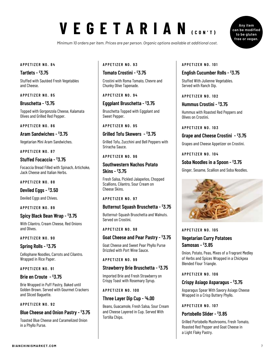# **VEGETARIAN (CON'T)**

*Minimum 10 orders per item. Prices are per person. Organic options available at additional cost.*

#### **APPETIZER NO. 84**

#### **Tartlets - \$3.75**

Stuffed with Sautéed Fresh Vegetables and Cheese.

#### **APPETIZER NO. 85**

#### **Bruschetta - \$3.75**

Topped with Gorgonzola Cheese, Kalamata Olives and Grilled Red Pepper.

#### **APPETIZER NO. 86**

#### **Aram Sandwiches - \$3.75**

Vegetarian Mini Aram Sandwiches.

#### **APPETIZER NO. 87**

#### **Stuffed Focaccia - \$3.75**

Focaccia Bread Filled with Spinach, Artichoke, Jack Cheese and Italian Herbs.

#### **APPETIZER NO. 88**

**Deviled Eggs - \$3.50**

Deviled Eggs and Chives.

#### **APPETIZER NO. 89**

#### **Spicy Black Bean Wrap - \$3.75**

With Cilantro, Cream Cheese, Red Onions and Olives.

#### **APPETIZER NO. 90**

#### **Spring Rolls - \$3.75**

Cellophane Noodles, Carrots and Cilantro. Wrapped in Rice Paper.

#### **APPETIZER NO. 91**

#### **Brie en Croute - \$3.75**

Brie Wrapped in Puff Pastry, Baked until Golden Brown. Served with Gourmet Crackers and Sliced Baguette.

#### **APPETIZER NO. 92**

#### **Blue Cheese and Onion Pastry - \$3.75**

Toasted Blue Cheese and Caramelized Onion in a Phyllo Purse.

#### **APPETIZER NO. 93**

### **Tomato Crostini - \$3.75**

Crostini with Roma Tomato, Chevre and Chunky Olive Tapenade.

#### **APPETIZER NO. 94**

#### **Eggplant Bruschetta - \$3.75**

Bruschetta Topped with Eggplant and Sweet Pepper.

#### **APPETIZER NO. 95**

#### **Grilled Tofu Skewers - \$3.75**

Grilled Tofu, Zucchini and Bell Peppers with Sriracha Sauce.

#### **APPETIZER NO. 96**

### **Southwestern Nachos Potato Skins - \$3.75**

Fresh Salsa, Pickled Jalapeños, Chopped Scallions, Cilantro, Sour Cream on Cheese Skins.

#### **APPETIZER NO. 97**

#### **Butternut Squash Bruschetta - \$3.75**

Butternut-Squash Bruschetta and Walnuts. Served on Crostini.

#### **APPETIZER NO. 98**

#### **Goat Cheese and Pear Pastry - \$3.75**

Goat Cheese and Sweet Pear Phyllo Purse Drizzled with Port Wine Sauce.

#### **APPETIZER NO. 99**

#### **Strawberry Brie Bruschetta - \$3.75**

Imported Brie and Fresh Strawberry on Crispy Toast with Rosemary Syrup.

#### **APPETIZER NO. 100**

#### **Three Layer Dip Cup - \$4.00**

Beans, Guacamole, Fresh Salsa, Sour Cream and Cheese Layered in Cup. Served With Tortilla Chips.

#### **APPETIZER NO. 101**

### **English Cucumber Rolls - \$3.75**

Stuffed With Julienne Vegetables. Served with Ranch Dip.

#### **APPETIZER NO. 102**

#### **Hummus Crostini - \$3.75**

Hummus with Roasted Red Peppers and Olives on Crostini.

**APPETIZER NO. 103**

#### **Grape and Cheese Crostini - \$3.75**

Grapes and Cheese Appetizer on Crostini.

**APPETIZER NO. 104**

#### **Soba Noodles in a Spoon - \$3.75**

Ginger, Sesame, Scallion and Soba Noodles.



#### **APPETIZER NO. 105**

# **Vegetarian Curry Potatoes Samosas - \$3.85**

Onion, Potato, Peas, Mixes of a Fragrant Medley of Herbs and Spices Wrapped in a Chickpea Blended Flour Triangle.

#### **APPETIZER NO. 106**

#### **Crispy Asiago Asparagus - \$3.75**

Asparagus Spear With Savory Asiago Cheese Wrapped in a Crisp Buttery Phyllo.

#### **APPETIZER NO. 107**

#### **Portobello Slider - \$3.85**

Grilled Portobello Mushrooms, Fresh Tomato, Roasted Red Pepper and Goat Cheese in a Light Flaky Pastry.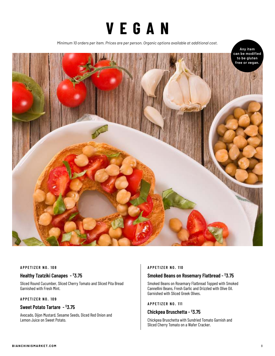

*Minimum 10 orders per item. Prices are per person. Organic options available at additional cost.*



#### **APPETIZER NO. 108**

#### **Healthy Tzatziki Canapes - \$3.75**

Sliced Round Cucumber, Sliced Cherry Tomato and Sliced Pita Bread Garnished with Fresh Mint.

#### **APPETIZER NO. 109**

# **Sweet Potato Tartare - \$3.75**

Avocado, Dijon Mustard, Sesame Seeds, Diced Red Onion and Lemon Juice on Sweet Potato.

#### **APPETIZER NO. 110**

#### **Smoked Beans on Rosemary Flatbread - \$3.75**

Smoked Beans on Rosemary Flatbread Topped with Smoked Cannellini Beans, Fresh Garlic and Drizzled with Olive Oil. Garnished with Sliced Greek Olives.

#### **APPETIZER NO. 111**

### **Chickpea Bruschetta - \$3.75**

Chickpea Bruschetta with Sundried Tomato Garnish and Sliced Cherry Tomato on a Wafer Cracker.